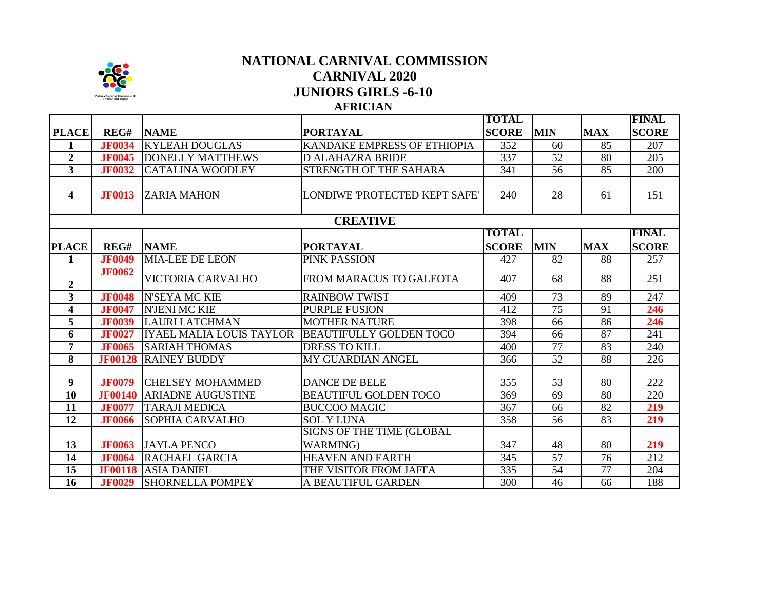

## **NATIONAL CARNIVAL COMMISSION CARNIVAL 2020 JUNIORS GIRLS -6-10 AFRICIAN**

|                         |                |                                 |                                    | <b>TOTAL</b>     |                 |                 | <b>FINAL</b>     |
|-------------------------|----------------|---------------------------------|------------------------------------|------------------|-----------------|-----------------|------------------|
| <b>PLACE</b>            | REG#           | <b>NAME</b>                     | <b>PORTAYAL</b>                    | <b>SCORE</b>     | <b>MIN</b>      | <b>MAX</b>      | <b>SCORE</b>     |
| 1                       | <b>JF0034</b>  | <b>KYLEAH DOUGLAS</b>           | <b>KANDAKE EMPRESS OF ETHIOPIA</b> | 352              | 60              | 85              | 207              |
| $\overline{2}$          | <b>JF0045</b>  | <b>DONELLY MATTHEWS</b>         | <b>D ALAHAZRA BRIDE</b>            | 337              | 52              | 80              | 205              |
| $\overline{3}$          | <b>JF0032</b>  | <b>CATALINA WOODLEY</b>         | STRENGTH OF THE SAHARA             | 341              | 56              | 85              | 200              |
|                         |                |                                 |                                    |                  |                 |                 |                  |
| $\overline{\mathbf{4}}$ | <b>JF0013</b>  | <b>ZARIA MAHON</b>              | LONDIWE 'PROTECTED KEPT SAFE'      | 240              | 28              | 61              | 151              |
|                         |                |                                 |                                    |                  |                 |                 |                  |
|                         |                |                                 | <b>CREATIVE</b>                    |                  |                 |                 |                  |
|                         |                |                                 |                                    | <b>TOTAL</b>     |                 |                 | <b>FINAL</b>     |
| <b>PLACE</b>            | REG#           | <b>NAME</b>                     | <b>PORTAYAL</b>                    | <b>SCORE</b>     | <b>MIN</b>      | <b>MAX</b>      | <b>SCORE</b>     |
| 1                       | <b>JF0049</b>  | <b>MIA-LEE DE LEON</b>          | <b>PINK PASSION</b>                | 427              | 82              | 88              | 257              |
| $\overline{2}$          | <b>JF0062</b>  | <b>VICTORIA CARVALHO</b>        | FROM MARACUS TO GALEOTA            | 407              | 68              | 88              | 251              |
| $\overline{\mathbf{3}}$ | <b>JF0048</b>  | <b>N'SEYA MC KIE</b>            | <b>RAINBOW TWIST</b>               | 409              | 73              | 89              | 247              |
| $\overline{\mathbf{4}}$ | <b>JF0047</b>  | <b>N'JENI MC KIE</b>            | <b>PURPLE FUSION</b>               | 412              | 75              | 91              | 246              |
| 5                       | <b>JF0039</b>  | <b>LAURI LATCHMAN</b>           | <b>MOTHER NATURE</b>               | 398              | 66              | 86              | 246              |
| 6                       | <b>JF0027</b>  | <b>IYAEL MALIA LOUIS TAYLOR</b> | <b>BEAUTIFULLY GOLDEN TOCO</b>     | 394              | 66              | $\overline{87}$ | $\overline{241}$ |
| 7                       | <b>JF0065</b>  | <b>SARIAH THOMAS</b>            | <b>DRESS TO KILL</b>               | 400              | 77              | 83              | 240              |
| 8                       | <b>JF00128</b> | <b>RAINEY BUDDY</b>             | <b>MY GUARDIAN ANGEL</b>           | 366              | $\overline{52}$ | $\overline{88}$ | 226              |
| 9                       | <b>JF0079</b>  | <b>CHELSEY MOHAMMED</b>         | <b>DANCE DE BELE</b>               | 355              | 53              | 80              | 222              |
| $\overline{10}$         | <b>JF00140</b> | <b>ARIADNE AUGUSTINE</b>        | <b>BEAUTIFUL GOLDEN TOCO</b>       | $\overline{369}$ | $\overline{69}$ | 80              | 220              |
| 11                      | <b>JF0077</b>  | <b>TARAJI MEDICA</b>            | <b>BUCCOO MAGIC</b>                | 367              | 66              | 82              | 219              |
| 12                      | <b>JF0066</b>  | SOPHIA CARVALHO                 | <b>SOL Y LUNA</b>                  | 358              | 56              | 83              | 219              |
|                         |                |                                 | <b>SIGNS OF THE TIME (GLOBAL</b>   |                  |                 |                 |                  |
| 13                      | <b>JF0063</b>  | <b>JAYLA PENCO</b>              | WARMING)                           | 347              | 48              | 80              | 219              |
| 14                      | <b>JF0064</b>  | <b>RACHAEL GARCIA</b>           | <b>HEAVEN AND EARTH</b>            | 345              | 57              | 76              | $\overline{212}$ |
| 15                      | <b>JF00118</b> | <b>ASIA DANIEL</b>              | THE VISITOR FROM JAFFA             | 335              | 54              | 77              | 204              |
| 16                      | <b>JF0029</b>  | <b>SHORNELLA POMPEY</b>         | A BEAUTIFUL GARDEN                 | 300              | 46              | 66              | 188              |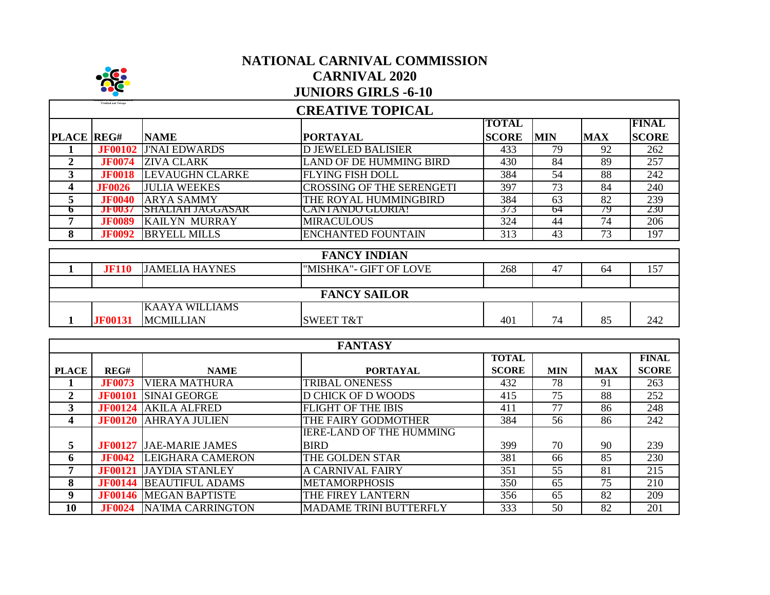

## **NATIONAL CARNIVAL COMMISSION CARNIVAL 2020 JUNIORS GIRLS -6-10**

| <b>CREATIVE TOPICAL</b> |                |                        |                                  |              |            |            |              |  |
|-------------------------|----------------|------------------------|----------------------------------|--------------|------------|------------|--------------|--|
|                         |                |                        |                                  | <b>TOTAL</b> |            |            | <b>FINAL</b> |  |
| <b>PLACE REG#</b>       |                | <b>NAME</b>            | <b>PORTAYAL</b>                  | <b>SCORE</b> | <b>MIN</b> | <b>MAX</b> | <b>SCORE</b> |  |
|                         | <b>JF00102</b> | <b>J'NAI EDWARDS</b>   | <b>D JEWELED BALISIER</b>        | 433          | 79         | 92         | 262          |  |
| 2                       | <b>JF0074</b>  | <b>ZIVA CLARK</b>      | LAND OF DE HUMMING BIRD          | 430          | 84         | 89         | 257          |  |
| 3                       | <b>JF0018</b>  | <b>LEVAUGHN CLARKE</b> | FLYING FISH DOLL                 | 384          | 54         | 88         | 242          |  |
| 4                       | <b>JF0026</b>  | <b>JULIA WEEKES</b>    | <b>CROSSING OF THE SERENGETI</b> | 397          | 73         | 84         | 240          |  |
| 5.                      | <b>JF0040</b>  | <b>ARYA SAMMY</b>      | THE ROYAL HUMMINGBIRD            | 384          | 63         | 82         | 239          |  |
| O.                      | <b>JF0037</b>  | ISHALIAH JAGGASAR      | CANTANDO GLORIA!                 | 373          | 64         | 79         | 230          |  |
| 7                       | <b>JF0089</b>  | <b>KAILYN MURRAY</b>   | <b>MIRACULOUS</b>                | 324          | 44         | 74         | 206          |  |
| 8                       | <b>JF0092</b>  | <b>BRYELL MILLS</b>    | <b>ENCHANTED FOUNTAIN</b>        | 313          | 43         | 73         | 197          |  |
|                         |                |                        |                                  |              |            |            |              |  |
|                         |                |                        | <b>FANCY INDIAN</b>              |              |            |            |              |  |

| TAINU LINDIAN       |                |                       |                         |     |    |    |     |  |
|---------------------|----------------|-----------------------|-------------------------|-----|----|----|-----|--|
|                     | <b>JF110</b>   | <b>JAMELIA HAYNES</b> | I"MISHKA"- GIFT OF LOVE | 268 | 47 | 64 |     |  |
|                     |                |                       |                         |     |    |    |     |  |
| <b>FANCY SAILOR</b> |                |                       |                         |     |    |    |     |  |
|                     |                | <b>KAAYA WILLIAMS</b> |                         |     |    |    |     |  |
|                     | <b>JF00131</b> | <b>MCMILLIAN</b>      | <b>SWEET T&amp;T</b>    | 401 | 74 | 85 | 242 |  |

| <b>FANTASY</b> |                |                         |                                 |              |            |            |              |  |  |
|----------------|----------------|-------------------------|---------------------------------|--------------|------------|------------|--------------|--|--|
|                |                |                         |                                 | <b>TOTAL</b> |            |            | <b>FINAL</b> |  |  |
| <b>PLACE</b>   | REG#           | <b>NAME</b>             | <b>PORTAYAL</b>                 | <b>SCORE</b> | <b>MIN</b> | <b>MAX</b> | <b>SCORE</b> |  |  |
|                | <b>JF0073</b>  | <b>VIERA MATHURA</b>    | <b>TRIBAL ONENESS</b>           | 432          | 78         | 91         | 263          |  |  |
| 2              | <b>JF00101</b> | <b>SINAI GEORGE</b>     | <b>D CHICK OF D WOODS</b>       | 415          | 75         | 88         | 252          |  |  |
| 3              | <b>JF00124</b> | <b>AKILA ALFRED</b>     | <b>FLIGHT OF THE IBIS</b>       | 411          | 77         | 86         | 248          |  |  |
| 4              | <b>JF00120</b> | <b>AHRAYA JULIEN</b>    | THE FAIRY GODMOTHER             | 384          | 56         | 86         | 242          |  |  |
|                |                |                         | <b>IERE-LAND OF THE HUMMING</b> |              |            |            |              |  |  |
| 5              | <b>JF00127</b> | <b>JAE-MARIE JAMES</b>  | <b>BIRD</b>                     | 399          | 70         | 90         | 239          |  |  |
| 6              | <b>JF0042</b>  | <b>LEIGHARA CAMERON</b> | THE GOLDEN STAR                 | 381          | 66         | 85         | 230          |  |  |
| 7              | <b>JF00121</b> | <b>JAYDIA STANLEY</b>   | <b>A CARNIVAL FAIRY</b>         | 351          | 55         | 81         | 215          |  |  |
| 8              | <b>JF00144</b> | <b>BEAUTIFUL ADAMS</b>  | <b>METAMORPHOSIS</b>            | 350          | 65         | 75         | 210          |  |  |
| 9              | <b>JF00146</b> | <b>MEGAN BAPTISTE</b>   | THE FIREY LANTERN               | 356          | 65         | 82         | 209          |  |  |
| 10             | <b>JF0024</b>  | NA'IMA CARRINGTON       | <b>MADAME TRINI BUTTERFLY</b>   | 333          | 50         | 82         | 201          |  |  |